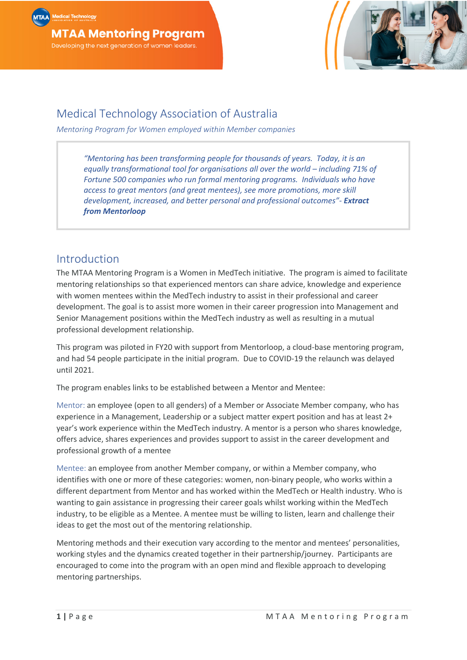

# Medical Technology Association of Australia

*Mentoring Program for Women employed within Member companies*

*"Mentoring has been transforming people for thousands of years. Today, it is an equally transformational tool for organisations all over the world – including 71% of Fortune 500 companies who run formal mentoring programs. Individuals who have access to great mentors (and great mentees), see more promotions, more skill development, increased, and better personal and professional outcomes"- Extract from Mentorloop*

# Introduction

The MTAA Mentoring Program is a Women in MedTech initiative. The program is aimed to facilitate mentoring relationships so that experienced mentors can share advice, knowledge and experience with women mentees within the MedTech industry to assist in their professional and career development. The goal is to assist more women in their career progression into Management and Senior Management positions within the MedTech industry as well as resulting in a mutual professional development relationship.

This program was piloted in FY20 with support from Mentorloop, a cloud-base mentoring program, and had 54 people participate in the initial program. Due to COVID-19 the relaunch was delayed until 2021.

The program enables links to be established between a Mentor and Mentee:

Mentor: an employee (open to all genders) of a Member or Associate Member company, who has experience in a Management, Leadership or a subject matter expert position and has at least 2+ year's work experience within the MedTech industry. A mentor is a person who shares knowledge, offers advice, shares experiences and provides support to assist in the career development and professional growth of a mentee

Mentee: an employee from another Member company, or within a Member company, who identifies with one or more of these categories: women, non-binary people, who works within a different department from Mentor and has worked within the MedTech or Health industry. Who is wanting to gain assistance in progressing their career goals whilst working within the MedTech industry, to be eligible as a Mentee. A mentee must be willing to listen, learn and challenge their ideas to get the most out of the mentoring relationship.

Mentoring methods and their execution vary according to the mentor and mentees' personalities, working styles and the dynamics created together in their partnership/journey. Participants are encouraged to come into the program with an open mind and flexible approach to developing mentoring partnerships.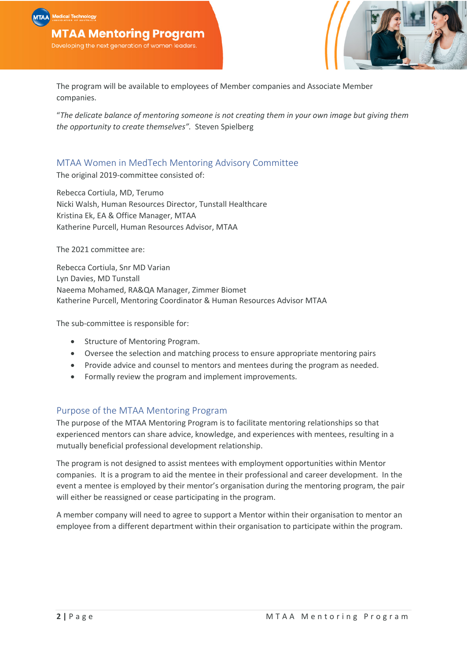

The program will be available to employees of Member companies and Associate Member companies.

"*The delicate balance of mentoring someone is not creating them in your own image but giving them the opportunity to create themselves".* Steven Spielberg

# MTAA Women in MedTech Mentoring Advisory Committee

The original 2019-committee consisted of:

Rebecca Cortiula, MD, Terumo Nicki Walsh, Human Resources Director, Tunstall Healthcare Kristina Ek, EA & Office Manager, MTAA Katherine Purcell, Human Resources Advisor, MTAA

The 2021 committee are:

Rebecca Cortiula, Snr MD Varian Lyn Davies, MD Tunstall Naeema Mohamed, RA&QA Manager, Zimmer Biomet Katherine Purcell, Mentoring Coordinator & Human Resources Advisor MTAA

The sub-committee is responsible for:

- Structure of Mentoring Program.
- Oversee the selection and matching process to ensure appropriate mentoring pairs
- Provide advice and counsel to mentors and mentees during the program as needed.
- Formally review the program and implement improvements.

## Purpose of the MTAA Mentoring Program

The purpose of the MTAA Mentoring Program is to facilitate mentoring relationships so that experienced mentors can share advice, knowledge, and experiences with mentees, resulting in a mutually beneficial professional development relationship.

The program is not designed to assist mentees with employment opportunities within Mentor companies. It is a program to aid the mentee in their professional and career development. In the event a mentee is employed by their mentor's organisation during the mentoring program, the pair will either be reassigned or cease participating in the program.

A member company will need to agree to support a Mentor within their organisation to mentor an employee from a different department within their organisation to participate within the program.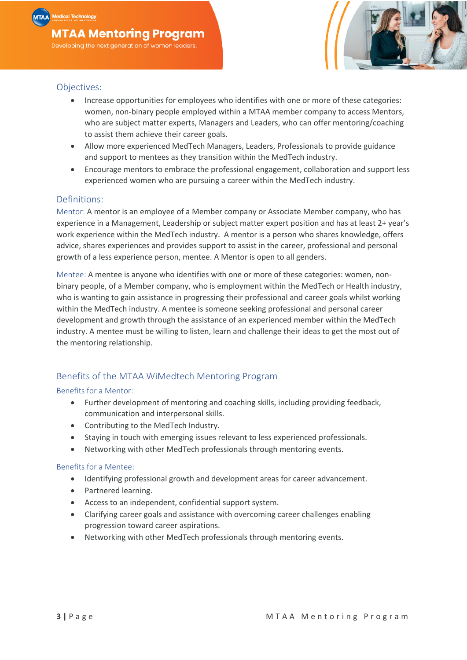

### Objectives:

- Increase opportunities for employees who identifies with one or more of these categories: women, non-binary people employed within a MTAA member company to access Mentors, who are subject matter experts, Managers and Leaders, who can offer mentoring/coaching to assist them achieve their career goals.
- Allow more experienced MedTech Managers, Leaders, Professionals to provide guidance and support to mentees as they transition within the MedTech industry.
- Encourage mentors to embrace the professional engagement, collaboration and support less experienced women who are pursuing a career within the MedTech industry.

### Definitions:

Mentor: A mentor is an employee of a Member company or Associate Member company, who has experience in a Management, Leadership or subject matter expert position and has at least 2+ year's work experience within the MedTech industry. A mentor is a person who shares knowledge, offers advice, shares experiences and provides support to assist in the career, professional and personal growth of a less experience person, mentee. A Mentor is open to all genders.

Mentee: A mentee is anyone who identifies with one or more of these categories: women, nonbinary people, of a Member company, who is employment within the MedTech or Health industry, who is wanting to gain assistance in progressing their professional and career goals whilst working within the MedTech industry. A mentee is someone seeking professional and personal career development and growth through the assistance of an experienced member within the MedTech industry. A mentee must be willing to listen, learn and challenge their ideas to get the most out of the mentoring relationship.

# Benefits of the MTAA WiMedtech Mentoring Program

### Benefits for a Mentor:

- Further development of mentoring and coaching skills, including providing feedback, communication and interpersonal skills.
- Contributing to the MedTech Industry.
- Staying in touch with emerging issues relevant to less experienced professionals.
- Networking with other MedTech professionals through mentoring events.

#### Benefits for a Mentee:

- Identifying professional growth and development areas for career advancement.
- Partnered learning.
- Access to an independent, confidential support system.
- Clarifying career goals and assistance with overcoming career challenges enabling progression toward career aspirations.
- Networking with other MedTech professionals through mentoring events.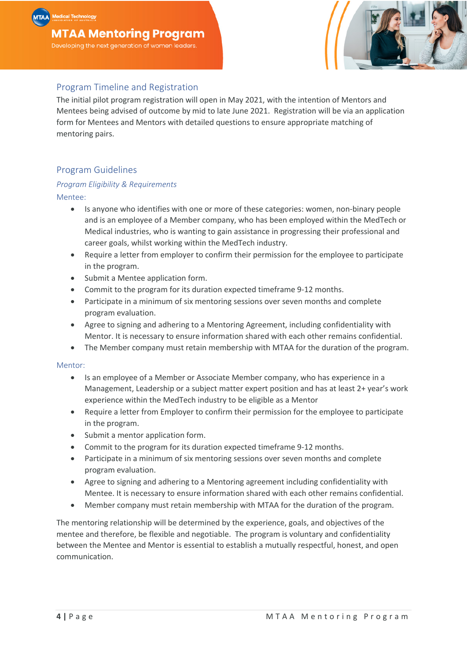

# Program Timeline and Registration

The initial pilot program registration will open in May 2021, with the intention of Mentors and Mentees being advised of outcome by mid to late June 2021. Registration will be via an application form for Mentees and Mentors with detailed questions to ensure appropriate matching of mentoring pairs.

# Program Guidelines

# *Program Eligibility & Requirements*

Mentee:

- Is anyone who identifies with one or more of these categories: women, non-binary people and is an employee of a Member company, who has been employed within the MedTech or Medical industries, who is wanting to gain assistance in progressing their professional and career goals, whilst working within the MedTech industry.
- Require a letter from employer to confirm their permission for the employee to participate in the program.
- Submit a Mentee application form.
- Commit to the program for its duration expected timeframe 9-12 months.
- Participate in a minimum of six mentoring sessions over seven months and complete program evaluation.
- Agree to signing and adhering to a Mentoring Agreement, including confidentiality with Mentor. It is necessary to ensure information shared with each other remains confidential.
- The Member company must retain membership with MTAA for the duration of the program.

### Mentor:

- Is an employee of a Member or Associate Member company, who has experience in a Management, Leadership or a subject matter expert position and has at least 2+ year's work experience within the MedTech industry to be eligible as a Mentor
- Require a letter from Employer to confirm their permission for the employee to participate in the program.
- Submit a mentor application form.
- Commit to the program for its duration expected timeframe 9-12 months.
- Participate in a minimum of six mentoring sessions over seven months and complete program evaluation.
- Agree to signing and adhering to a Mentoring agreement including confidentiality with Mentee. It is necessary to ensure information shared with each other remains confidential.
- Member company must retain membership with MTAA for the duration of the program.

The mentoring relationship will be determined by the experience, goals, and objectives of the mentee and therefore, be flexible and negotiable. The program is voluntary and confidentiality between the Mentee and Mentor is essential to establish a mutually respectful, honest, and open communication.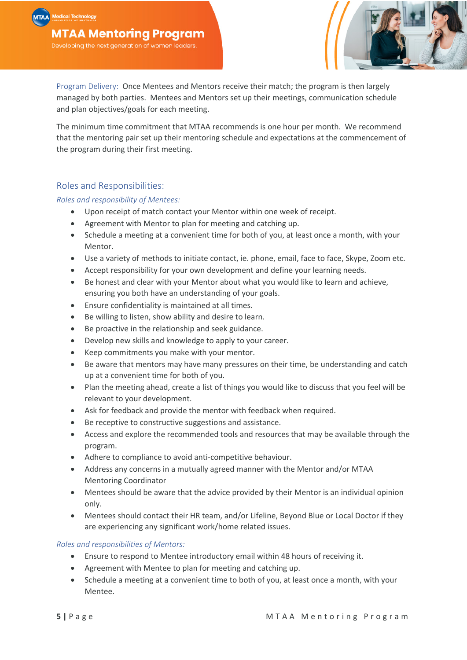

Program Delivery: Once Mentees and Mentors receive their match; the program is then largely managed by both parties. Mentees and Mentors set up their meetings, communication schedule and plan objectives/goals for each meeting.

The minimum time commitment that MTAA recommends is one hour per month. We recommend that the mentoring pair set up their mentoring schedule and expectations at the commencement of the program during their first meeting.

## Roles and Responsibilities:

*Roles and responsibility of Mentees:*

- Upon receipt of match contact your Mentor within one week of receipt.
- Agreement with Mentor to plan for meeting and catching up.
- Schedule a meeting at a convenient time for both of you, at least once a month, with your Mentor.
- Use a variety of methods to initiate contact, ie. phone, email, face to face, Skype, Zoom etc.
- Accept responsibility for your own development and define your learning needs.
- Be honest and clear with your Mentor about what you would like to learn and achieve, ensuring you both have an understanding of your goals.
- Ensure confidentiality is maintained at all times.
- Be willing to listen, show ability and desire to learn.
- Be proactive in the relationship and seek guidance.
- Develop new skills and knowledge to apply to your career.
- Keep commitments you make with your mentor.
- Be aware that mentors may have many pressures on their time, be understanding and catch up at a convenient time for both of you.
- Plan the meeting ahead, create a list of things you would like to discuss that you feel will be relevant to your development.
- Ask for feedback and provide the mentor with feedback when required.
- Be receptive to constructive suggestions and assistance.
- Access and explore the recommended tools and resources that may be available through the program.
- Adhere to compliance to avoid anti-competitive behaviour.
- Address any concerns in a mutually agreed manner with the Mentor and/or MTAA Mentoring Coordinator
- Mentees should be aware that the advice provided by their Mentor is an individual opinion only.
- Mentees should contact their HR team, and/or Lifeline, Beyond Blue or Local Doctor if they are experiencing any significant work/home related issues.

### *Roles and responsibilities of Mentors:*

- Ensure to respond to Mentee introductory email within 48 hours of receiving it.
- Agreement with Mentee to plan for meeting and catching up.
- Schedule a meeting at a convenient time to both of you, at least once a month, with your Mentee.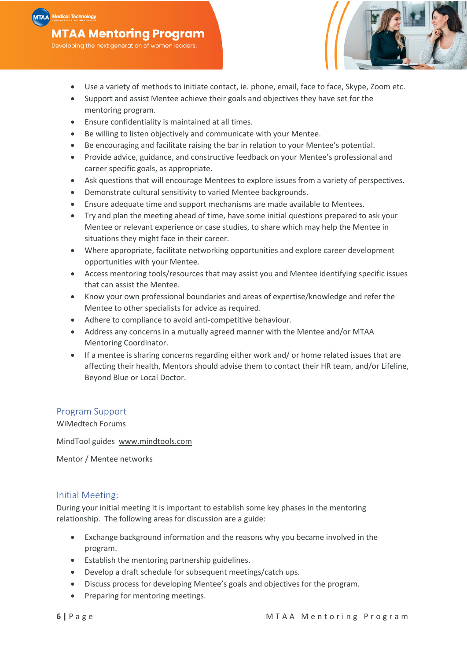Developing the next generation of women leaders.

- Use a variety of methods to initiate contact, ie. phone, email, face to face, Skype, Zoom etc.
- Support and assist Mentee achieve their goals and objectives they have set for the mentoring program.
- Ensure confidentiality is maintained at all times.
- Be willing to listen objectively and communicate with your Mentee.
- Be encouraging and facilitate raising the bar in relation to your Mentee's potential.
- Provide advice, guidance, and constructive feedback on your Mentee's professional and career specific goals, as appropriate.
- Ask questions that will encourage Mentees to explore issues from a variety of perspectives.
- Demonstrate cultural sensitivity to varied Mentee backgrounds.
- Ensure adequate time and support mechanisms are made available to Mentees.
- Try and plan the meeting ahead of time, have some initial questions prepared to ask your Mentee or relevant experience or case studies, to share which may help the Mentee in situations they might face in their career.
- Where appropriate, facilitate networking opportunities and explore career development opportunities with your Mentee.
- Access mentoring tools/resources that may assist you and Mentee identifying specific issues that can assist the Mentee.
- Know your own professional boundaries and areas of expertise/knowledge and refer the Mentee to other specialists for advice as required.
- Adhere to compliance to avoid anti-competitive behaviour.
- Address any concerns in a mutually agreed manner with the Mentee and/or MTAA Mentoring Coordinator.
- If a mentee is sharing concerns regarding either work and/ or home related issues that are affecting their health, Mentors should advise them to contact their HR team, and/or Lifeline, Beyond Blue or Local Doctor.

### Program Support

WiMedtech Forums

MindTool guides www.mindtools.com

Mentor / Mentee networks

#### Initial Meeting:

During your initial meeting it is important to establish some key phases in the mentoring relationship. The following areas for discussion are a guide:

- Exchange background information and the reasons why you became involved in the program.
- Establish the mentoring partnership guidelines.
- Develop a draft schedule for subsequent meetings/catch ups.
- Discuss process for developing Mentee's goals and objectives for the program.
- Preparing for mentoring meetings.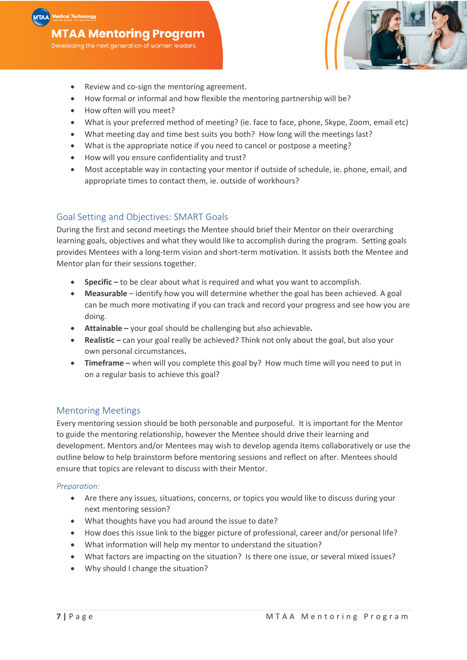

- How formal or informal and how flexible the mentoring partnership will be?
- How often will you meet?
- What is your preferred method of meeting? (ie. face to face, phone, Skype, Zoom, email etc)
- What meeting day and time best suits you both? How long will the meetings last?
- What is the appropriate notice if you need to cancel or postpose a meeting?
- How will you ensure confidentiality and trust?
- Most acceptable way in contacting your mentor if outside of schedule, ie. phone, email, and appropriate times to contact them, ie. outside of workhours?

## Goal Setting and Objectives: SMART Goals

During the first and second meetings the Mentee should brief their Mentor on their overarching learning goals, objectives and what they would like to accomplish during the program. Setting goals provides Mentees with a long-term vision and short-term motivation. It assists both the Mentee and Mentor plan for their sessions together.

- **Specific –** to be clear about what is required and what you want to accomplish.
- **Measurable**  identify how you will determine whether the goal has been achieved. A goal can be much more motivating if you can track and record your progress and see how you are doing.
- **Attainable –** your goal should be challenging but also achievable**.**
- **Realistic –** can your goal really be achieved? Think not only about the goal, but also your own personal circumstances**.**
- **Timeframe –** when will you complete this goal by? How much time will you need to put in on a regular basis to achieve this goal?

## Mentoring Meetings

Every mentoring session should be both personable and purposeful. It is important for the Mentor to guide the mentoring relationship, however the Mentee should drive their learning and development. Mentors and/or Mentees may wish to develop agenda items collaboratively or use the outline below to help brainstorm before mentoring sessions and reflect on after. Mentees should ensure that topics are relevant to discuss with their Mentor.

### *Preparation:*

- Are there any issues, situations, concerns, or topics you would like to discuss during your next mentoring session?
- What thoughts have you had around the issue to date?
- How does this issue link to the bigger picture of professional, career and/or personal life?
- What information will help my mentor to understand the situation?
- What factors are impacting on the situation? Is there one issue, or several mixed issues?
- Why should I change the situation?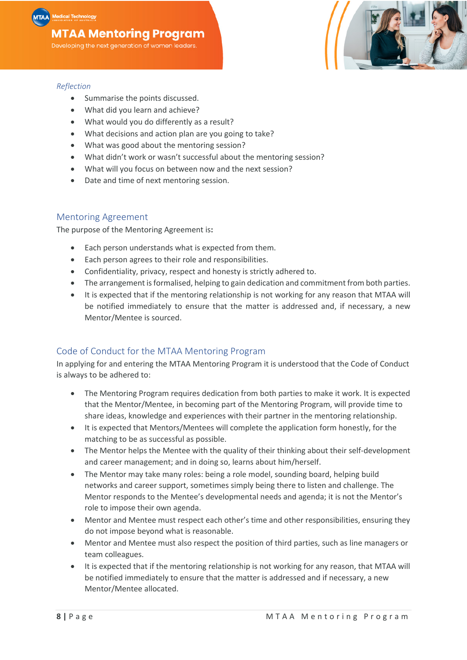Developing the next generation of women leaders.



# *Reflection*

- Summarise the points discussed.
- What did you learn and achieve?
- What would you do differently as a result?
- What decisions and action plan are you going to take?
- What was good about the mentoring session?
- What didn't work or wasn't successful about the mentoring session?
- What will you focus on between now and the next session?
- Date and time of next mentoring session.

# Mentoring Agreement

The purpose of the Mentoring Agreement is**:**

- Each person understands what is expected from them.
- Each person agrees to their role and responsibilities.
- Confidentiality, privacy, respect and honesty is strictly adhered to.
- The arrangement is formalised, helping to gain dedication and commitment from both parties.
- It is expected that if the mentoring relationship is not working for any reason that MTAA will be notified immediately to ensure that the matter is addressed and, if necessary, a new Mentor/Mentee is sourced.

# Code of Conduct for the MTAA Mentoring Program

In applying for and entering the MTAA Mentoring Program it is understood that the Code of Conduct is always to be adhered to:

- The Mentoring Program requires dedication from both parties to make it work. It is expected that the Mentor/Mentee, in becoming part of the Mentoring Program, will provide time to share ideas, knowledge and experiences with their partner in the mentoring relationship.
- It is expected that Mentors/Mentees will complete the application form honestly, for the matching to be as successful as possible.
- The Mentor helps the Mentee with the quality of their thinking about their self-development and career management; and in doing so, learns about him/herself.
- The Mentor may take many roles: being a role model, sounding board, helping build networks and career support, sometimes simply being there to listen and challenge. The Mentor responds to the Mentee's developmental needs and agenda; it is not the Mentor's role to impose their own agenda.
- Mentor and Mentee must respect each other's time and other responsibilities, ensuring they do not impose beyond what is reasonable.
- Mentor and Mentee must also respect the position of third parties, such as line managers or team colleagues.
- It is expected that if the mentoring relationship is not working for any reason, that MTAA will be notified immediately to ensure that the matter is addressed and if necessary, a new Mentor/Mentee allocated.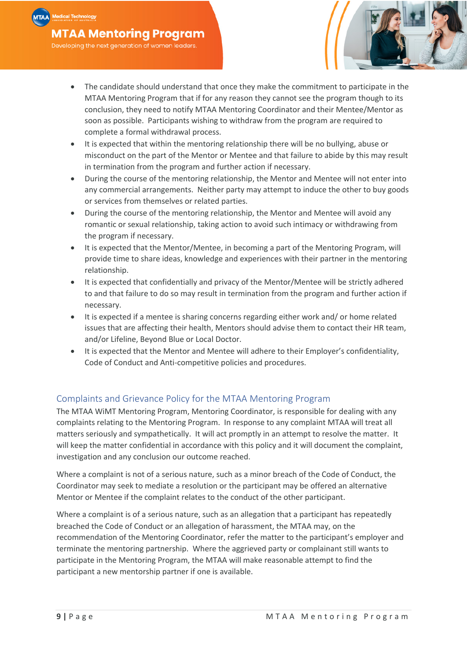

- The candidate should understand that once they make the commitment to participate in the MTAA Mentoring Program that if for any reason they cannot see the program though to its conclusion, they need to notify MTAA Mentoring Coordinator and their Mentee/Mentor as soon as possible. Participants wishing to withdraw from the program are required to complete a formal withdrawal process.
- It is expected that within the mentoring relationship there will be no bullying, abuse or misconduct on the part of the Mentor or Mentee and that failure to abide by this may result in termination from the program and further action if necessary.
- During the course of the mentoring relationship, the Mentor and Mentee will not enter into any commercial arrangements. Neither party may attempt to induce the other to buy goods or services from themselves or related parties.
- During the course of the mentoring relationship, the Mentor and Mentee will avoid any romantic or sexual relationship, taking action to avoid such intimacy or withdrawing from the program if necessary.
- It is expected that the Mentor/Mentee, in becoming a part of the Mentoring Program, will provide time to share ideas, knowledge and experiences with their partner in the mentoring relationship.
- It is expected that confidentially and privacy of the Mentor/Mentee will be strictly adhered to and that failure to do so may result in termination from the program and further action if necessary.
- It is expected if a mentee is sharing concerns regarding either work and/ or home related issues that are affecting their health, Mentors should advise them to contact their HR team, and/or Lifeline, Beyond Blue or Local Doctor.
- It is expected that the Mentor and Mentee will adhere to their Employer's confidentiality, Code of Conduct and Anti-competitive policies and procedures.

# Complaints and Grievance Policy for the MTAA Mentoring Program

The MTAA WiMT Mentoring Program, Mentoring Coordinator, is responsible for dealing with any complaints relating to the Mentoring Program. In response to any complaint MTAA will treat all matters seriously and sympathetically. It will act promptly in an attempt to resolve the matter. It will keep the matter confidential in accordance with this policy and it will document the complaint, investigation and any conclusion our outcome reached.

Where a complaint is not of a serious nature, such as a minor breach of the Code of Conduct, the Coordinator may seek to mediate a resolution or the participant may be offered an alternative Mentor or Mentee if the complaint relates to the conduct of the other participant.

Where a complaint is of a serious nature, such as an allegation that a participant has repeatedly breached the Code of Conduct or an allegation of harassment, the MTAA may, on the recommendation of the Mentoring Coordinator, refer the matter to the participant's employer and terminate the mentoring partnership. Where the aggrieved party or complainant still wants to participate in the Mentoring Program, the MTAA will make reasonable attempt to find the participant a new mentorship partner if one is available.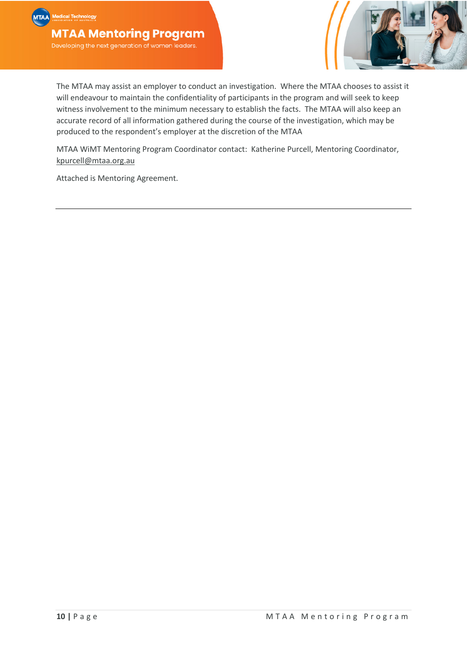

The MTAA may assist an employer to conduct an investigation. Where the MTAA chooses to assist it will endeavour to maintain the confidentiality of participants in the program and will seek to keep witness involvement to the minimum necessary to establish the facts. The MTAA will also keep an accurate record of all information gathered during the course of the investigation, which may be produced to the respondent's employer at the discretion of the MTAA

MTAA WiMT Mentoring Program Coordinator contact: Katherine Purcell, Mentoring Coordinator, kpurcell@mtaa.org.au

Attached is Mentoring Agreement.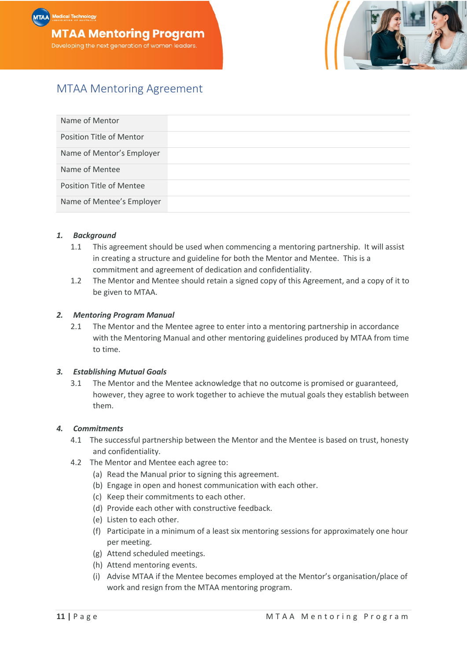



# MTAA Mentoring Agreement

| Name of Mentor            |  |
|---------------------------|--|
| Position Title of Mentor  |  |
| Name of Mentor's Employer |  |
| Name of Mentee            |  |
| Position Title of Mentee  |  |
| Name of Mentee's Employer |  |

#### *1. Background*

- 1.1 This agreement should be used when commencing a mentoring partnership. It will assist in creating a structure and guideline for both the Mentor and Mentee. This is a commitment and agreement of dedication and confidentiality.
- 1.2 The Mentor and Mentee should retain a signed copy of this Agreement, and a copy of it to be given to MTAA.

#### *2. Mentoring Program Manual*

2.1 The Mentor and the Mentee agree to enter into a mentoring partnership in accordance with the Mentoring Manual and other mentoring guidelines produced by MTAA from time to time.

#### *3. Establishing Mutual Goals*

3.1 The Mentor and the Mentee acknowledge that no outcome is promised or guaranteed, however, they agree to work together to achieve the mutual goals they establish between them.

#### *4. Commitments*

- 4.1 The successful partnership between the Mentor and the Mentee is based on trust, honesty and confidentiality.
- 4.2 The Mentor and Mentee each agree to:
	- (a) Read the Manual prior to signing this agreement.
	- (b) Engage in open and honest communication with each other.
	- (c) Keep their commitments to each other.
	- (d) Provide each other with constructive feedback.
	- (e) Listen to each other.
	- (f) Participate in a minimum of a least six mentoring sessions for approximately one hour per meeting.
	- (g) Attend scheduled meetings.
	- (h) Attend mentoring events.
	- (i) Advise MTAA if the Mentee becomes employed at the Mentor's organisation/place of work and resign from the MTAA mentoring program.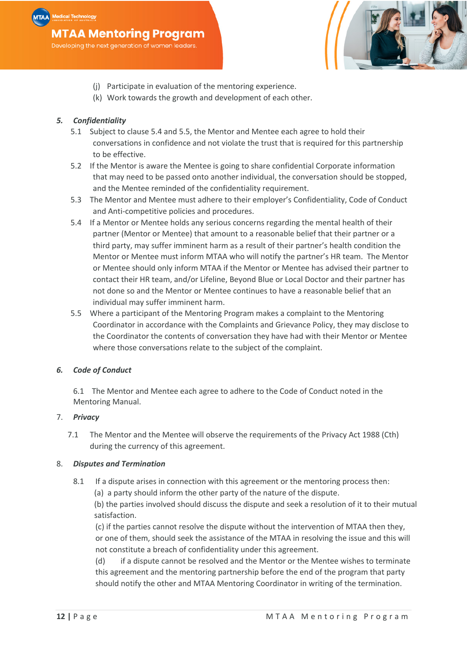

- (j) Participate in evaluation of the mentoring experience.
- (k) Work towards the growth and development of each other.

### *5. Confidentiality*

- 5.1 Subject to clause 5.4 and 5.5, the Mentor and Mentee each agree to hold their conversations in confidence and not violate the trust that is required for this partnership to be effective.
- 5.2 If the Mentor is aware the Mentee is going to share confidential Corporate information that may need to be passed onto another individual, the conversation should be stopped, and the Mentee reminded of the confidentiality requirement.
- 5.3 The Mentor and Mentee must adhere to their employer's Confidentiality, Code of Conduct and Anti-competitive policies and procedures.
- 5.4 If a Mentor or Mentee holds any serious concerns regarding the mental health of their partner (Mentor or Mentee) that amount to a reasonable belief that their partner or a third party, may suffer imminent harm as a result of their partner's health condition the Mentor or Mentee must inform MTAA who will notify the partner's HR team. The Mentor or Mentee should only inform MTAA if the Mentor or Mentee has advised their partner to contact their HR team, and/or Lifeline, Beyond Blue or Local Doctor and their partner has not done so and the Mentor or Mentee continues to have a reasonable belief that an individual may suffer imminent harm.
- 5.5 Where a participant of the Mentoring Program makes a complaint to the Mentoring Coordinator in accordance with the Complaints and Grievance Policy, they may disclose to the Coordinator the contents of conversation they have had with their Mentor or Mentee where those conversations relate to the subject of the complaint.

#### *6. Code of Conduct*

6.1 The Mentor and Mentee each agree to adhere to the Code of Conduct noted in the Mentoring Manual.

#### 7. *Privacy*

7.1 The Mentor and the Mentee will observe the requirements of the Privacy Act 1988 (Cth) during the currency of this agreement.

#### 8. *Disputes and Termination*

8.1 If a dispute arises in connection with this agreement or the mentoring process then: (a) a party should inform the other party of the nature of the dispute.

(b) the parties involved should discuss the dispute and seek a resolution of it to their mutual satisfaction.

(c) if the parties cannot resolve the dispute without the intervention of MTAA then they, or one of them, should seek the assistance of the MTAA in resolving the issue and this will not constitute a breach of confidentiality under this agreement.

(d) if a dispute cannot be resolved and the Mentor or the Mentee wishes to terminate this agreement and the mentoring partnership before the end of the program that party should notify the other and MTAA Mentoring Coordinator in writing of the termination.